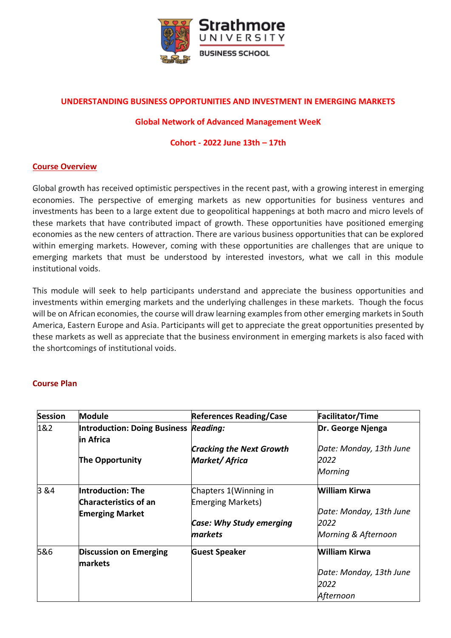

# **UNDERSTANDING BUSINESS OPPORTUNITIES AND INVESTMENT IN EMERGING MARKETS**

#### **Global Network of Advanced Management WeeK**

### **Cohort - 2022 June 13th – 17th**

## **Course Overview**

Global growth has received optimistic perspectives in the recent past, with a growing interest in emerging economies. The perspective of emerging markets as new opportunities for business ventures and investments has been to a large extent due to geopolitical happenings at both macro and micro levels of these markets that have contributed impact of growth. These opportunities have positioned emerging economies as the new centers of attraction. There are various business opportunities that can be explored within emerging markets. However, coming with these opportunities are challenges that are unique to emerging markets that must be understood by interested investors, what we call in this module institutional voids.

This module will seek to help participants understand and appreciate the business opportunities and investments within emerging markets and the underlying challenges in these markets. Though the focus will be on African economies, the course will draw learning examples from other emerging markets in South America, Eastern Europe and Asia. Participants will get to appreciate the great opportunities presented by these markets as well as appreciate that the business environment in emerging markets is also faced with the shortcomings of institutional voids.

#### **Course Plan**

| <b>Session</b> | <b>Module</b>                            | <b>References Reading/Case</b>  | <b>Facilitator/Time</b> |
|----------------|------------------------------------------|---------------------------------|-------------------------|
| 1&2            | Introduction: Doing Business Reading:    |                                 | Dr. George Njenga       |
|                | in Africa                                |                                 |                         |
|                |                                          | <b>Cracking the Next Growth</b> | Date: Monday, 13th June |
|                | The Opportunity                          | <b>Market/Africa</b>            | 2022                    |
|                |                                          |                                 | Morning                 |
| 3&4            | Introduction: The                        | Chapters 1(Winning in           | <b>William Kirwa</b>    |
|                | <b>Characteristics of an</b>             | <b>Emerging Markets)</b>        |                         |
|                | <b>Emerging Market</b>                   |                                 | Date: Monday, 13th June |
|                |                                          | <b>Case: Why Study emerging</b> | 2022                    |
|                |                                          | markets                         | Morning & Afternoon     |
| 5&6            | <b>Discussion on Emerging</b><br>markets | <b>Guest Speaker</b>            | William Kirwa           |
|                |                                          |                                 | Date: Monday, 13th June |
|                |                                          |                                 | 2022                    |
|                |                                          |                                 | Afternoon               |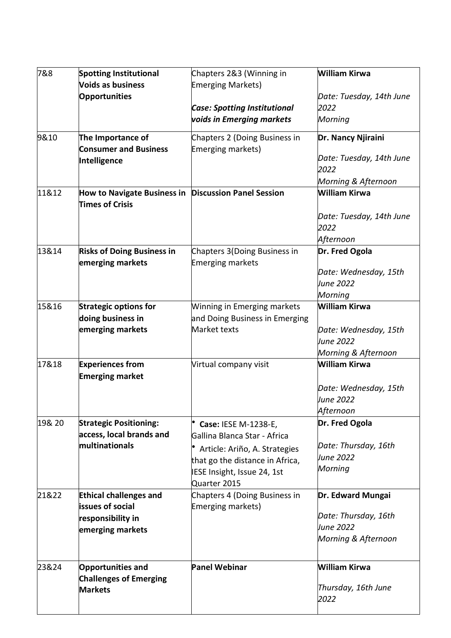| 7&8    | <b>Spotting Institutional</b>                                           | Chapters 2&3 (Winning in            | William Kirwa                                   |
|--------|-------------------------------------------------------------------------|-------------------------------------|-------------------------------------------------|
|        | Voids as business                                                       | <b>Emerging Markets)</b>            |                                                 |
|        | <b>Opportunities</b>                                                    |                                     | Date: Tuesday, 14th June                        |
|        |                                                                         | <b>Case: Spotting Institutional</b> | 2022                                            |
|        |                                                                         | voids in Emerging markets           | Morning                                         |
| 9&10   | The Importance of                                                       | Chapters 2 (Doing Business in       | Dr. Nancy Njiraini                              |
|        | <b>Consumer and Business</b>                                            | Emerging markets)                   |                                                 |
|        | Intelligence                                                            |                                     | Date: Tuesday, 14th June                        |
|        |                                                                         |                                     | 2022                                            |
| 11&12  |                                                                         |                                     | Morning & Afternoon<br>William Kirwa            |
|        | How to Navigate Business in Discussion Panel Session<br>Times of Crisis |                                     |                                                 |
|        |                                                                         |                                     | Date: Tuesday, 14th June                        |
|        |                                                                         |                                     | 2022                                            |
|        |                                                                         |                                     | Afternoon                                       |
| 13&14  | <b>Risks of Doing Business in</b>                                       | Chapters 3(Doing Business in        | Dr. Fred Ogola                                  |
|        | emerging markets                                                        | <b>Emerging markets</b>             |                                                 |
|        |                                                                         |                                     | Date: Wednesday, 15th                           |
|        |                                                                         |                                     | June 2022                                       |
|        |                                                                         |                                     | Morning                                         |
| 15&16  | <b>Strategic options for</b>                                            | <b>Winning in Emerging markets</b>  | William Kirwa                                   |
|        | doing business in                                                       | and Doing Business in Emerging      |                                                 |
|        | emerging markets                                                        | Market texts                        | Date: Wednesday, 15th                           |
|        |                                                                         |                                     | June 2022                                       |
|        |                                                                         |                                     | Morning & Afternoon                             |
| 17&18  | <b>Experiences from</b>                                                 | Virtual company visit               | William Kirwa                                   |
|        | <b>Emerging market</b>                                                  |                                     |                                                 |
|        |                                                                         |                                     | Date: Wednesday, 15th                           |
|        |                                                                         |                                     | June 2022                                       |
|        |                                                                         |                                     | Afternoon                                       |
| 19& 20 | <b>Strategic Positioning:</b>                                           | Case: IESE M-1238-E,                | Dr. Fred Ogola                                  |
|        | access, local brands and                                                | Gallina Blanca Star - Africa        |                                                 |
|        | multinationals                                                          | Article: Ariño, A. Strategies       | Date: Thursday, 16th                            |
|        |                                                                         | that go the distance in Africa,     | June 2022                                       |
|        |                                                                         | IESE Insight, Issue 24, 1st         | Morning                                         |
|        |                                                                         | Quarter 2015                        |                                                 |
| 21&22  | <b>Ethical challenges and</b>                                           | Chapters 4 (Doing Business in       | Dr. Edward Mungai                               |
|        | <b>issues of social</b>                                                 | Emerging markets)                   |                                                 |
|        | responsibility in                                                       |                                     | Date: Thursday, 16th<br><i><b>June 2022</b></i> |
|        | emerging markets                                                        |                                     | Morning & Afternoon                             |
|        |                                                                         |                                     |                                                 |
| 23&24  | <b>Opportunities and</b>                                                | <b>Panel Webinar</b>                | William Kirwa                                   |
|        | <b>Challenges of Emerging</b>                                           |                                     |                                                 |
|        | <b>Markets</b>                                                          |                                     | Thursday, 16th June                             |
|        |                                                                         |                                     | 2022                                            |
|        |                                                                         |                                     |                                                 |